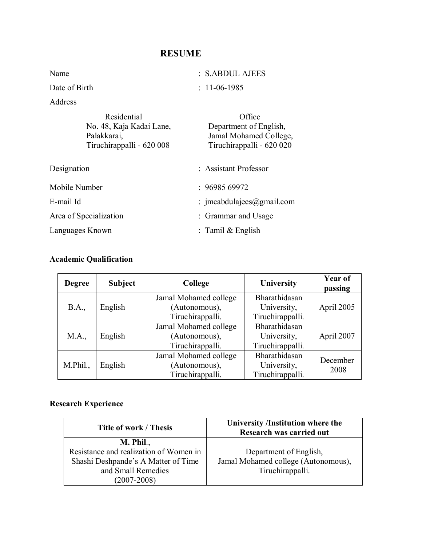# **RESUME**

| Name                      | : S.ABDUL AJEES           |
|---------------------------|---------------------------|
| Date of Birth             | $: 11-06-1985$            |
| Address                   |                           |
| Residential               | Office                    |
| No. 48, Kaja Kadai Lane,  | Department of English,    |
| Palakkarai,               | Jamal Mohamed College,    |
| Tiruchirappalli - 620 008 | Tiruchirappalli - 620 020 |

| Designation            | : Assistant Professor     |
|------------------------|---------------------------|
| Mobile Number          | :9698569972               |
| E-mail Id              | : imcabdulajees@gmail.com |
| Area of Specialization | : Grammar and Usage       |
| Languages Known        | : Tamil $&$ English       |

## **Academic Qualification**

| <b>Degree</b> | <b>Subject</b> | College               | University       | Year of<br>passing |
|---------------|----------------|-----------------------|------------------|--------------------|
|               | English        | Jamal Mohamed college | Bharathidasan    |                    |
| <b>B.A.,</b>  |                | (Autonomous),         | University,      | April 2005         |
|               |                | Tiruchirappalli.      | Tiruchirappalli. |                    |
|               | English        | Jamal Mohamed college | Bharathidasan    |                    |
| M.A.,         |                | (Autonomous),         | University,      | April 2007         |
|               |                | Tiruchirappalli.      | Tiruchirappalli. |                    |
|               | English        | Jamal Mohamed college | Bharathidasan    | December           |
| M.Phil.       |                | (Autonomous),         | University,      | 2008               |
|               |                | Tiruchirappalli.      | Tiruchirappalli. |                    |

# **Research Experience**

| <b>Title of work / Thesis</b>          | University /Institution where the<br>Research was carried out |  |
|----------------------------------------|---------------------------------------------------------------|--|
| $M.$ Phil.,                            |                                                               |  |
| Resistance and realization of Women in | Department of English,                                        |  |
| Shashi Deshpande's A Matter of Time    | Jamal Mohamed college (Autonomous),                           |  |
| and Small Remedies                     | Tiruchirappalli.                                              |  |
| $(2007 - 2008)$                        |                                                               |  |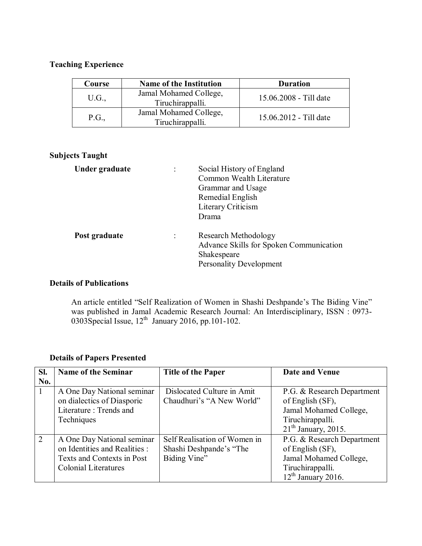### **Teaching Experience**

| Course                                              | <b>Name of the Institution</b>             | <b>Duration</b>        |
|-----------------------------------------------------|--------------------------------------------|------------------------|
| U.G.,                                               | Jamal Mohamed College,<br>Tiruchirappalli. | 15.06.2008 - Till date |
| Jamal Mohamed College,<br>P.G.,<br>Tiruchirappalli. |                                            | 15.06.2012 - Till date |

### **Subjects Taught**

| Under graduate | ٠              | Social History of England<br>Common Wealth Literature<br>Grammar and Usage<br>Remedial English<br>Literary Criticism<br>Drama |
|----------------|----------------|-------------------------------------------------------------------------------------------------------------------------------|
| Post graduate  | $\ddot{\cdot}$ | Research Methodology<br>Advance Skills for Spoken Communication<br>Shakespeare<br><b>Personality Development</b>              |

#### **Details of Publications**

An article entitled "Self Realization of Women in Shashi Deshpande's The Biding Vine" was published in Jamal Academic Research Journal: An Interdisciplinary, ISSN : 0973- 0303Special Issue,  $12<sup>th</sup>$  January 2016, pp.101-102.

| SI. | <b>Name of the Seminar</b>                                                                                        | <b>Title of the Paper</b>                                               | Date and Venue                                                                                                        |
|-----|-------------------------------------------------------------------------------------------------------------------|-------------------------------------------------------------------------|-----------------------------------------------------------------------------------------------------------------------|
| No. |                                                                                                                   |                                                                         |                                                                                                                       |
|     | A One Day National seminar<br>on dialectics of Diasporic<br>Literature: Trends and<br>Techniques                  | Dislocated Culture in Amit<br>Chaudhuri's "A New World"                 | P.G. & Research Department<br>of English (SF),<br>Jamal Mohamed College,<br>Tiruchirappalli.<br>$21th$ January, 2015. |
| 2   | A One Day National seminar<br>on Identities and Realities :<br>Texts and Contexts in Post<br>Colonial Literatures | Self Realisation of Women in<br>Shashi Deshpande's "The<br>Biding Vine" | P.G. & Research Department<br>of English (SF),<br>Jamal Mohamed College,<br>Tiruchirappalli.<br>$12th$ January 2016.  |

## **Details of Papers Presented**